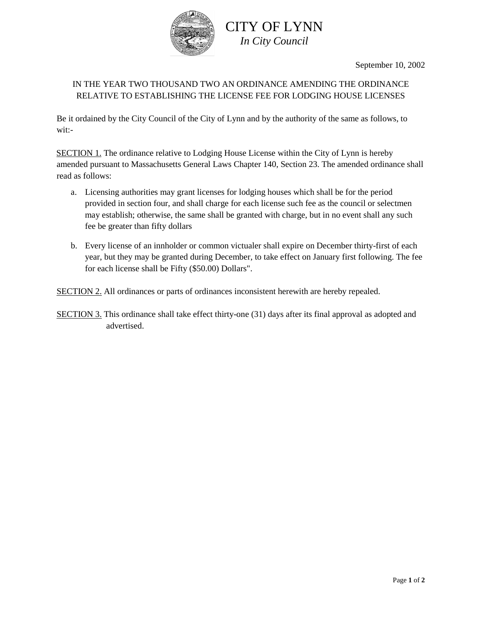

CITY OF LYNN *In City Council*

September 10, 2002

## IN THE YEAR TWO THOUSAND TWO AN ORDINANCE AMENDING THE ORDINANCE RELATIVE TO ESTABLISHING THE LICENSE FEE FOR LODGING HOUSE LICENSES

Be it ordained by the City Council of the City of Lynn and by the authority of the same as follows, to wit:-

SECTION 1. The ordinance relative to Lodging House License within the City of Lynn is hereby amended pursuant to Massachusetts General Laws Chapter 140, Section 23. The amended ordinance shall read as follows:

- a. Licensing authorities may grant licenses for lodging houses which shall be for the period provided in section four, and shall charge for each license such fee as the council or selectmen may establish; otherwise, the same shall be granted with charge, but in no event shall any such fee be greater than fifty dollars
- b. Every license of an innholder or common victualer shall expire on December thirty-first of each year, but they may be granted during December, to take effect on January first following. The fee for each license shall be Fifty (\$50.00) Dollars".

SECTION 2. All ordinances or parts of ordinances inconsistent herewith are hereby repealed.

SECTION 3. This ordinance shall take effect thirty-one (31) days after its final approval as adopted and advertised.